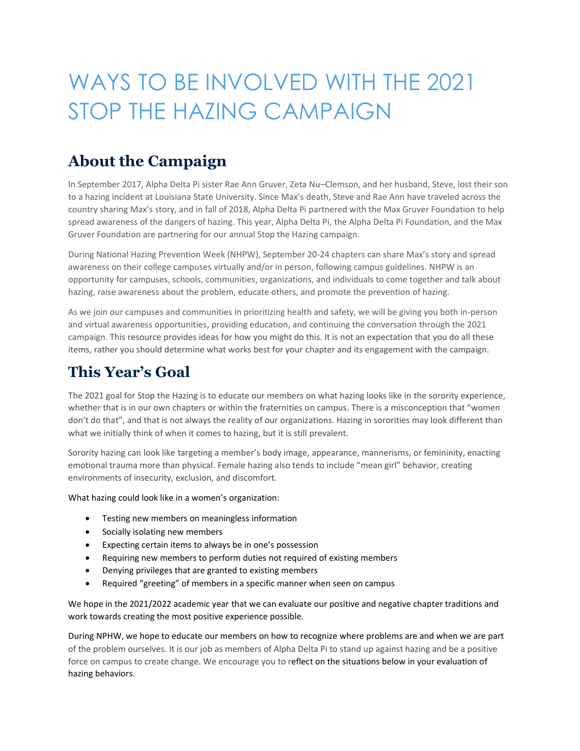# WAYS TO BE INVOLVED WITH THE 2021 STOP THE HAZING CAMPAIGN

## **About the Campaign**

In September 2017, Alpha Delta Pi sister Rae Ann Gruver, Zeta Nu–Clemson, and her husband, Steve, lost their son to a hazing incident at Louisiana State University. Since Max's death, Steve and Rae Ann have traveled across the country sharing Max's story, and in fall of 2018, Alpha Delta Pi partnered with the Max Gruver Foundation to help spread awareness of the dangers of hazing. This year, Alpha Delta Pi, the Alpha Delta Pi Foundation, and the Max Gruver Foundation are partnering for our annual Stop the Hazing campaign.

During National Hazing Prevention Week (NHPW), September 20-24 chapters can share Max's story and spread awareness on their college campuses virtually and/or in person, following campus guidelines. NHPW is an opportunity for campuses, schools, communities, organizations, and individuals to come together and talk about hazing, raise awareness about the problem, educate others, and promote the prevention of hazing.

As we join our campuses and communities in prioritizing health and safety, we will be giving you both in-person and virtual awareness opportunities, providing education, and continuing the conversation through the 2021 campaign. This resource provides ideas for how you might do this. It is not an expectation that you do all these items, rather you should determine what works best for your chapter and its engagement with the campaign.

### **This Year's Goal**

The 2021 goal for Stop the Hazing is to educate our members on what hazing looks like in the sorority experience, whether that is in our own chapters or within the fraternities on campus. There is a misconception that "women don't do that", and that is not always the reality of our organizations. Hazing in sororities may look different than what we initially think of when it comes to hazing, but it is still prevalent.

Sorority hazing can look like targeting a member's body image, appearance, mannerisms, or femininity, enacting emotional trauma more than physical. Female hazing also tends to include "mean girl" behavior, creating environments of insecurity, exclusion, and discomfort.

What hazing could look like in a women's organization:

- Testing new members on meaningless information
- Socially isolating new members
- Expecting certain items to always be in one's possession
- Requiring new members to perform duties not required of existing members
- Denying privileges that are granted to existing members
- Required "greeting" of members in a specific manner when seen on campus

We hope in the 2021/2022 academic year that we can evaluate our positive and negative chapter traditions and work towards creating the most positive experience possible.

During NPHW, we hope to educate our members on how to recognize where problems are and when we are part of the problem ourselves. It is our job as members of Alpha Delta Pi to stand up against hazing and be a positive force on campus to create change. We encourage you to reflect on the situations below in your evaluation of hazing behaviors.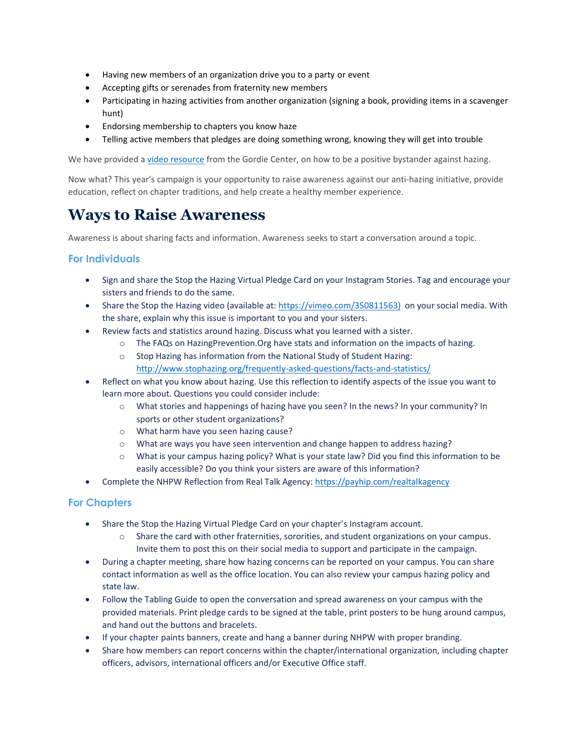- Having new members of an organization drive you to a party or event
- Accepting gifts or serenades from fraternity new members
- Participating in hazing activities from another organization (signing a book, providing items in a scavenger hunt)
- Endorsing membership to chapters you know haze
- Telling active members that pledges are doing something wrong, knowing they will get into trouble

We have provided a [video resource](https://www.youtube.com/watch?v=2t_Whr3hDH0) from the Gordie Center, on how to be a positive bystander against hazing.

Now what? This year's campaign is your opportunity to raise awareness against our anti-hazing initiative, provide education, reflect on chapter traditions, and help create a healthy member experience.

## **Ways to Raise Awareness**

Awareness is about sharing facts and information. Awareness seeks to start a conversation around a topic.

#### **For Individuals**

- Sign and share the Stop the Hazing Virtual Pledge Card on your Instagram Stories. Tag and encourage your sisters and friends to do the same.
- Share the Stop the Hazing video (available at: [https://vimeo.com/350811563\)](https://vimeo.com/350811563) on your social media. With the share, explain why this issue is important to you and your sisters.
- Review facts and statistics around hazing. Discuss what you learned with a sister.
	- o The FAQs on HazingPrevention.Org have stats and information on the impacts of hazing.
	- o Stop Hazing has information from the National Study of Student Hazing: [http://www.stophazing.org/frequently-asked-questions/facts-and-statistics/](https://stophazing.org/research/national-hazing-study-hazing-in-view/)
- Reflect on what you know about hazing. Use this reflection to identify aspects of the issue you want to learn more about. Questions you could consider include:
	- o What stories and happenings of hazing have you seen? In the news? In your community? In sports or other student organizations?
	- o What harm have you seen hazing cause?
	- o What are ways you have seen intervention and change happen to address hazing?
	- o What is your campus hazing policy? What is your state law? Did you find this information to be easily accessible? Do you think your sisters are aware of this information?
- Complete the NHPW Reflection from Real Talk Agency:<https://payhip.com/realtalkagency>

#### **For Chapters**

- Share the Stop the Hazing Virtual Pledge Card on your chapter's Instagram account.
	- $\circ$  Share the card with other fraternities, sororities, and student organizations on your campus. Invite them to post this on their social media to support and participate in the campaign.
- During a chapter meeting, share how hazing concerns can be reported on your campus. You can share contact information as well as the office location. You can also review your campus hazing policy and state law.
- Follow the Tabling Guide to open the conversation and spread awareness on your campus with the provided materials. Print pledge cards to be signed at the table, print posters to be hung around campus, and hand out the buttons and bracelets.
- If your chapter paints banners, create and hang a banner during NHPW with proper branding.
- Share how members can report concerns within the chapter/international organization, including chapter officers, advisors, international officers and/or Executive Office staff.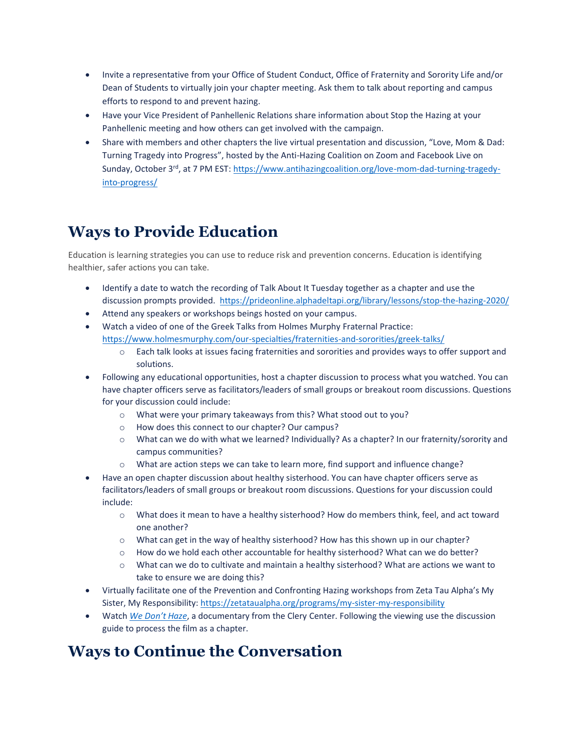- Invite a representative from your Office of Student Conduct, Office of Fraternity and Sorority Life and/or Dean of Students to virtually join your chapter meeting. Ask them to talk about reporting and campus efforts to respond to and prevent hazing.
- Have your Vice President of Panhellenic Relations share information about Stop the Hazing at your Panhellenic meeting and how others can get involved with the campaign.
- Share with members and other chapters the live virtual presentation and discussion, "Love, Mom & Dad: Turning Tragedy into Progress", hosted by the Anti-Hazing Coalition on Zoom and Facebook Live on Sunday, October 3rd, at 7 PM EST: [https://www.antihazingcoalition.org/love-mom-dad-turning-tragedy](https://www.antihazingcoalition.org/love-mom-dad-turning-tragedy-into-progress/)[into-progress/](https://www.antihazingcoalition.org/love-mom-dad-turning-tragedy-into-progress/)

## **Ways to Provide Education**

Education is learning strategies you can use to reduce risk and prevention concerns. Education is identifying healthier, safer actions you can take.

- Identify a date to watch the recording of Talk About It Tuesday together as a chapter and use the discussion prompts provided. <https://prideonline.alphadeltapi.org/library/lessons/stop-the-hazing-2020/>
- Attend any speakers or workshops beings hosted on your campus.
- Watch a video of one of the Greek Talks from Holmes Murphy Fraternal Practice: <https://www.holmesmurphy.com/our-specialties/fraternities-and-sororities/greek-talks/>
	- o Each talk looks at issues facing fraternities and sororities and provides ways to offer support and solutions.
- Following any educational opportunities, host a chapter discussion to process what you watched. You can have chapter officers serve as facilitators/leaders of small groups or breakout room discussions. Questions for your discussion could include:
	- o What were your primary takeaways from this? What stood out to you?
	- o How does this connect to our chapter? Our campus?
	- o What can we do with what we learned? Individually? As a chapter? In our fraternity/sorority and campus communities?
	- o What are action steps we can take to learn more, find support and influence change?
- Have an open chapter discussion about healthy sisterhood. You can have chapter officers serve as facilitators/leaders of small groups or breakout room discussions. Questions for your discussion could include:
	- o What does it mean to have a healthy sisterhood? How do members think, feel, and act toward one another?
	- o What can get in the way of healthy sisterhood? How has this shown up in our chapter?
	- o How do we hold each other accountable for healthy sisterhood? What can we do better?
	- $\circ$  What can we do to cultivate and maintain a healthy sisterhood? What are actions we want to take to ensure we are doing this?
- Virtually facilitate one of the Prevention and Confronting Hazing workshops from Zeta Tau Alpha's My Sister, My Responsibility:<https://zetataualpha.org/programs/my-sister-my-responsibility>
- Watch *[We Don't Haze](https://clerycenter.org/initiatives/hazing-project/)*, a documentary from the Clery Center. Following the viewing use the discussion guide to process the film as a chapter.

### **Ways to Continue the Conversation**